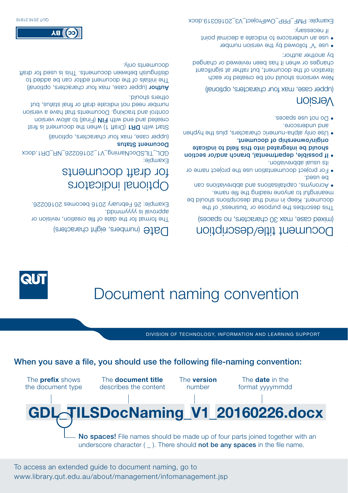To access an extended guide to document naming, go to www.library.qut.edu.au/about/management/infomanagement.jsp



When you save a file, you should use the following file-naming convention:

DIVISION OF TECHNOLOGY, INFORMATION AND LEARNING SUPPORT



# Document naming convention

#### **Date** (numbers, eight characters)

The format for the date of file creation, revision or approval is yyyymmdd. Example: 29 February 2010 becomes 20190226.

## Optional indicators for draft documents

Example: GDL\_TILSDocNaming\_V1\_20160226\_NR\_DR1.docx Documeur Pratna

(upper case, max four characters, optional)

frait at it fields on the document is first that the first parameter  $\sigma$ created and end with FIN (Final) to allow version control and tracking. Documents that have a version number need not indicate draft or final status, but others should.

**Huthor** (upper case, max four characters, optional) The initials of the document editor can be added to distinguish between documents. This is used for draft documents only.



(mixed case, max 30 characters, no spaces)

This describes the purpose or 'business' of the document. Keep in mind that descriptions should be meaningful to anyone reading the file name.

- Acronyms, capitalisations and abbreviations can  be used.
- For project documentation use the project name or  its usual abbreviation.
- If possible, departmental, branch and/or section  should be integrated into the plane in the producte origin/ownership of document.
- Use only alpha-numeric characters, plus the hyphen  and underscore.
- Do not use spaces.

### Version

(upper case, max four characters, optional)

New versions should not be created for each iteration of the document, but rather at significant changes or when it has been reviewed or changed by another author:

'V' followed by the version number use **•**  an underscore to indicate a decimal point use **•**  . if necessary

Example: PMF\_PRP\_OwlProject\_V3\_20160319.docx



**дя (бэ**